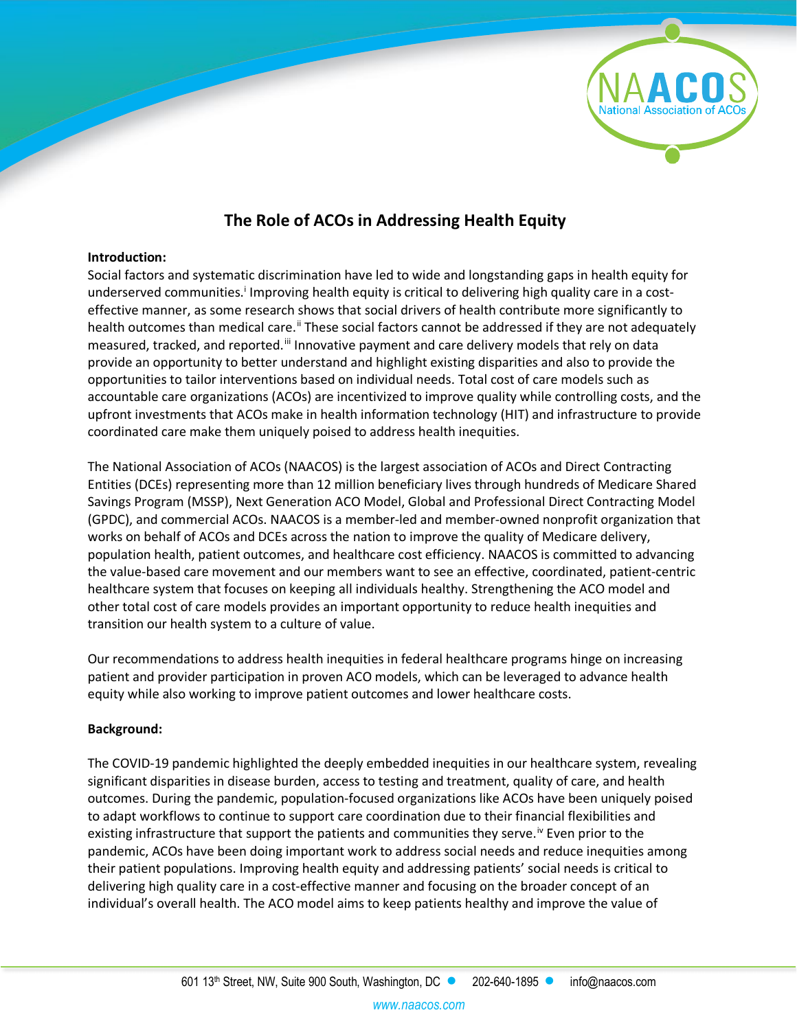

# **The Role of ACOs in Addressing Health Equity**

#### **Introduction:**

Social factors and systematic discrimination have led to wide and longstanding gaps in health equity for underserved commun[i](#page-5-0)ties.<sup>i</sup> Improving health equity is critical to delivering high quality care in a costeffective manner, as some research shows that social drivers of health contribute more significantly to health outcomes than medical care.<sup>[ii](#page-5-1)</sup> These social factors cannot be addressed if they are not adequately measured, tracked, and reported.<sup>[iii](#page-5-2)</sup> Innovative payment and care delivery models that rely on data provide an opportunity to better understand and highlight existing disparities and also to provide the opportunities to tailor interventions based on individual needs. Total cost of care models such as accountable care organizations (ACOs) are incentivized to improve quality while controlling costs, and the upfront investments that ACOs make in health information technology (HIT) and infrastructure to provide coordinated care make them uniquely poised to address health inequities.

The National Association of ACOs (NAACOS) is the largest association of ACOs and Direct Contracting Entities (DCEs) representing more than 12 million beneficiary lives through hundreds of Medicare Shared Savings Program (MSSP), Next Generation ACO Model, Global and Professional Direct Contracting Model (GPDC), and commercial ACOs. NAACOS is a member-led and member-owned nonprofit organization that works on behalf of ACOs and DCEs across the nation to improve the quality of Medicare delivery, population health, patient outcomes, and healthcare cost efficiency. NAACOS is committed to advancing the value-based care movement and our members want to see an effective, coordinated, patient-centric healthcare system that focuses on keeping all individuals healthy. Strengthening the ACO model and other total cost of care models provides an important opportunity to reduce health inequities and transition our health system to a culture of value.

Our recommendations to address health inequities in federal healthcare programs hinge on increasing patient and provider participation in proven ACO models, which can be leveraged to advance health equity while also working to improve patient outcomes and lower healthcare costs.

## **Background:**

The COVID-19 pandemic highlighted the deeply embedded inequities in our healthcare system, revealing significant disparities in disease burden, access to testing and treatment, quality of care, and health outcomes. During the pandemic, population-focused organizations like ACOs have been uniquely poised to adapt workflows to continue to support care coordination due to their financial flexibilities and existing infrastructure that support the patients and communities they serve.<sup>[iv](#page-5-3)</sup> Even prior to the pandemic, ACOs have been doing important work to address social needs and reduce inequities among their patient populations. Improving health equity and addressing patients' social needs is critical to delivering high quality care in a cost-effective manner and focusing on the broader concept of an individual's overall health. The ACO model aims to keep patients healthy and improve the value of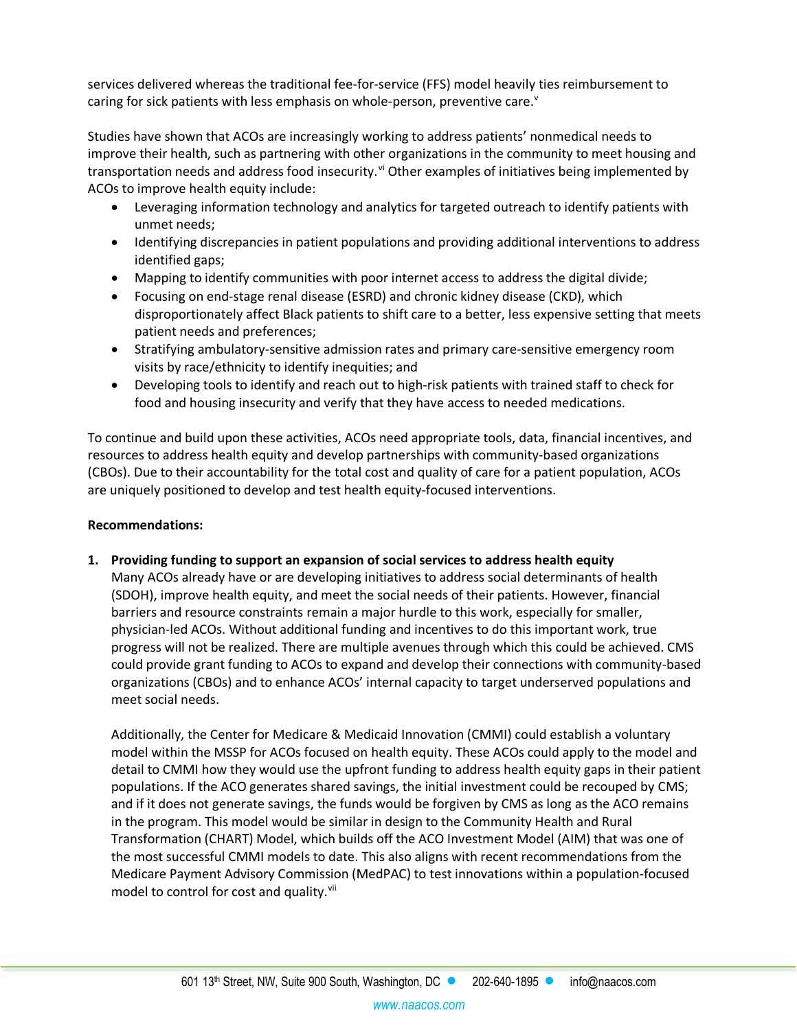services delivered whereas the traditional fee-for-service (FFS) model heavily ties reimbursement to caring for sick patients with less emphasis on whole-person, pre[v](#page-5-4)entive care. $v$ 

Studies have shown that ACOs are increasingly working to address patients' nonmedical needs to improve their health, such as partnering with other organizations in the community to meet housing and transportation needs and address food insecurity.<sup>[vi](#page-5-5)</sup> Other examples of initiatives being implemented by ACOs to improve health equity include:

- Leveraging information technology and analytics for targeted outreach to identify patients with unmet needs;
- Identifying discrepancies in patient populations and providing additional interventions to address identified gaps;
- Mapping to identify communities with poor internet access to address the digital divide;
- Focusing on end-stage renal disease (ESRD) and chronic kidney disease (CKD), which disproportionately affect Black patients to shift care to a better, less expensive setting that meets patient needs and preferences;
- Stratifying ambulatory-sensitive admission rates and primary care-sensitive emergency room visits by race/ethnicity to identify inequities; and
- Developing tools to identify and reach out to high-risk patients with trained staff to check for food and housing insecurity and verify that they have access to needed medications.

To continue and build upon these activities, ACOs need appropriate tools, data, financial incentives, and resources to address health equity and develop partnerships with community-based organizations (CBOs). Due to their accountability for the total cost and quality of care for a patient population, ACOs are uniquely positioned to develop and test health equity-focused interventions.

## **Recommendations:**

**1. Providing funding to support an expansion of social services to address health equity** Many ACOs already have or are developing initiatives to address social determinants of health (SDOH), improve health equity, and meet the social needs of their patients. However, financial barriers and resource constraints remain a major hurdle to this work, especially for smaller, physician-led ACOs. Without additional funding and incentives to do this important work, true

progress will not be realized. There are multiple avenues through which this could be achieved. CMS could provide grant funding to ACOs to expand and develop their connections with community-based organizations (CBOs) and to enhance ACOs' internal capacity to target underserved populations and meet social needs.

Additionally, the Center for Medicare & Medicaid Innovation (CMMI) could establish a voluntary model within the MSSP for ACOs focused on health equity. These ACOs could apply to the model and detail to CMMI how they would use the upfront funding to address health equity gaps in their patient populations. If the ACO generates shared savings, the initial investment could be recouped by CMS; and if it does not generate savings, the funds would be forgiven by CMS as long as the ACO remains in the program. This model would be similar in design to the Community Health and Rural Transformation (CHART) Model, which builds off the ACO Investment Model (AIM) that was one of the most successful CMMI models to date. This also aligns with recent recommendations from the Medicare Payment Advisory Commission (MedPAC) to test innovations within a population-focused model to control for cost and quality.<sup>[vii](#page-5-6)</sup>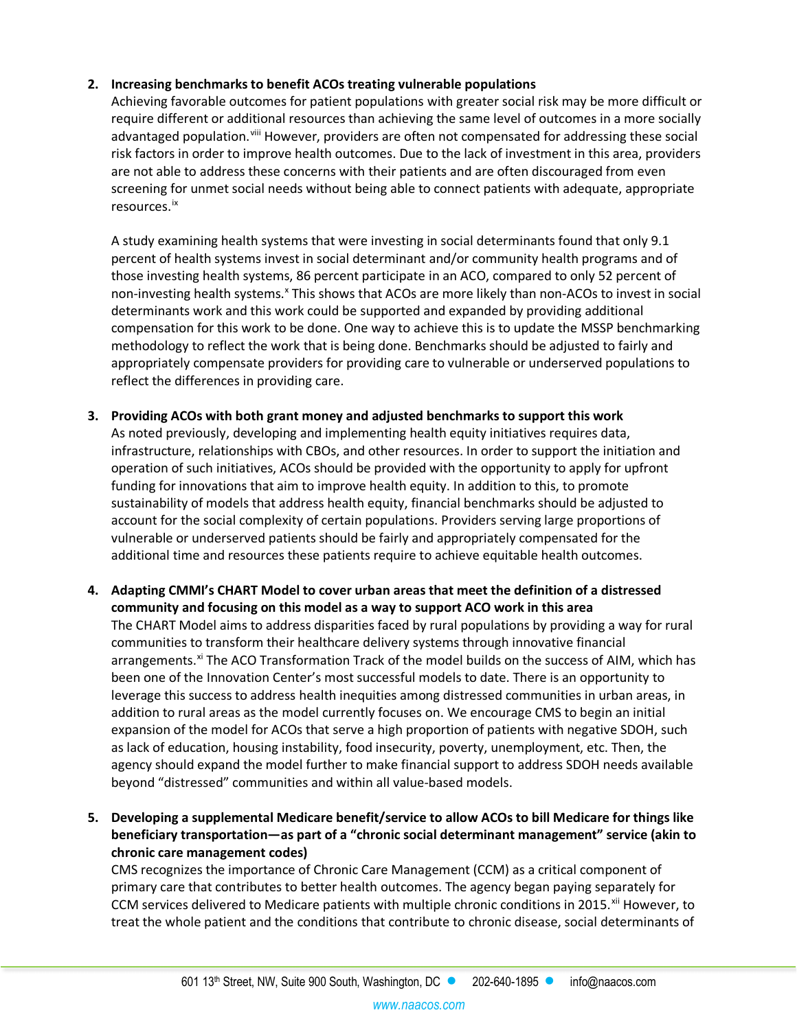## **2. Increasing benchmarks to benefit ACOs treating vulnerable populations**

Achieving favorable outcomes for patient populations with greater social risk may be more difficult or require different or additional resources than achieving the same level of outcomes in a more socially advantaged population.<sup>[viii](#page-5-7)</sup> However, providers are often not compensated for addressing these social risk factors in order to improve health outcomes. Due to the lack of investment in this area, providers are not able to address these concerns with their patients and are often discouraged from even screening for unmet social needs without being able to connect patients with adequate, appropriate resources.[ix](#page-5-8)

A study examining health systems that were investing in social determinants found that only 9.1 percent of health systems invest in social determinant and/or community health programs and of those investing health systems, 86 percent participate in an ACO, compared to only 52 percent of non-investing health systems.<sup>[x](#page-5-9)</sup> This shows that ACOs are more likely than non-ACOs to invest in social determinants work and this work could be supported and expanded by providing additional compensation for this work to be done. One way to achieve this is to update the MSSP benchmarking methodology to reflect the work that is being done. Benchmarks should be adjusted to fairly and appropriately compensate providers for providing care to vulnerable or underserved populations to reflect the differences in providing care.

- **3. Providing ACOs with both grant money and adjusted benchmarks to support this work** As noted previously, developing and implementing health equity initiatives requires data, infrastructure, relationships with CBOs, and other resources. In order to support the initiation and operation of such initiatives, ACOs should be provided with the opportunity to apply for upfront funding for innovations that aim to improve health equity. In addition to this, to promote sustainability of models that address health equity, financial benchmarks should be adjusted to account for the social complexity of certain populations. Providers serving large proportions of vulnerable or underserved patients should be fairly and appropriately compensated for the additional time and resources these patients require to achieve equitable health outcomes.
- **4. Adapting CMMI's CHART Model to cover urban areas that meet the definition of a distressed community and focusing on this model as a way to support ACO work in this area** The CHART Model aims to address disparities faced by rural populations by providing a way for rural communities to transform their healthcare delivery systems through innovative financial arrangements.<sup>xi</sup> The ACO Transformation Track of the model builds on the success of AIM, which has been one of the Innovation Center's most successful models to date. There is an opportunity to leverage this success to address health inequities among distressed communities in urban areas, in addition to rural areas as the model currently focuses on. We encourage CMS to begin an initial expansion of the model for ACOs that serve a high proportion of patients with negative SDOH, such as lack of education, housing instability, food insecurity, poverty, unemployment, etc. Then, the agency should expand the model further to make financial support to address SDOH needs available beyond "distressed" communities and within all value-based models.
- **5. Developing a supplemental Medicare benefit/service to allow ACOs to bill Medicare for things like beneficiary transportation—as part of a "chronic social determinant management" service (akin to chronic care management codes)**

CMS recognizes the importance of Chronic Care Management (CCM) as a critical component of primary care that contributes to better health outcomes. The agency began paying separately for CCM services delivered to Medicare patients with multiple chronic conditions in 2015.<sup>[xii](#page-5-11)</sup> However, to treat the whole patient and the conditions that contribute to chronic disease, social determinants of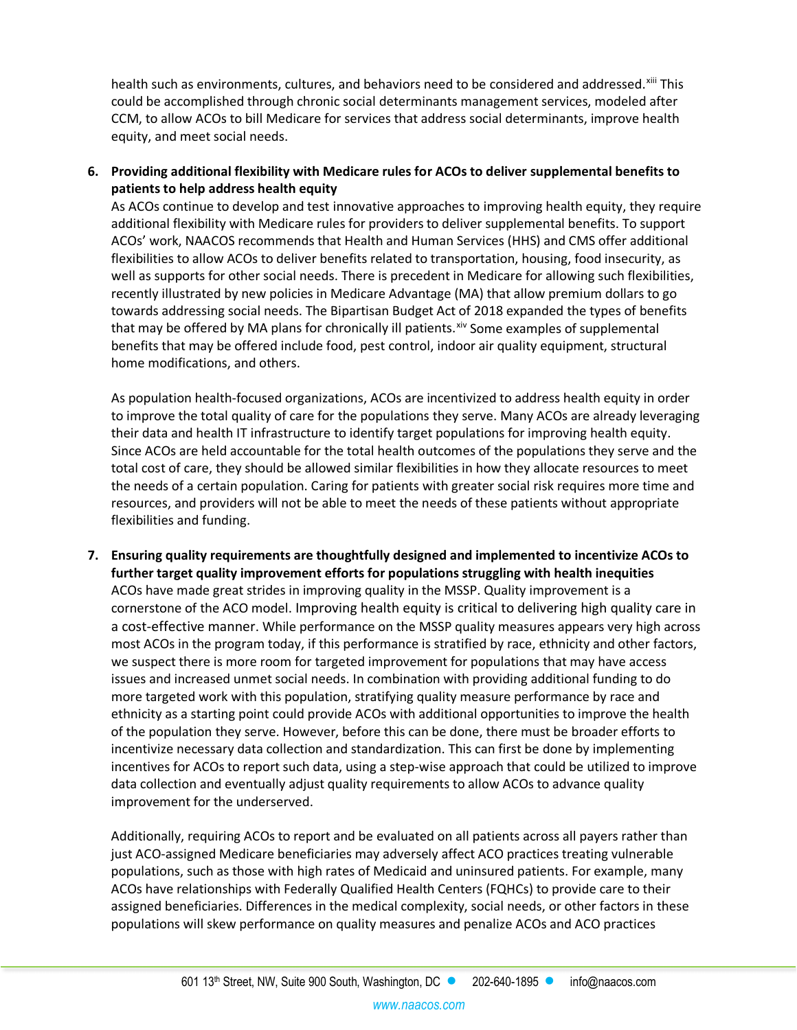health such as environments, cultures, and behaviors need to be considered and addressed.<sup>[xiii](#page-5-12)</sup> This could be accomplished through chronic social determinants management services, modeled after CCM, to allow ACOs to bill Medicare for services that address social determinants, improve health equity, and meet social needs.

#### **6. Providing additional flexibility with Medicare rules for ACOs to deliver supplemental benefits to patients to help address health equity**

As ACOs continue to develop and test innovative approaches to improving health equity, they require additional flexibility with Medicare rules for providers to deliver supplemental benefits. To support ACOs' work, NAACOS recommends that Health and Human Services (HHS) and CMS offer additional flexibilities to allow ACOs to deliver benefits related to transportation, housing, food insecurity, as well as supports for other social needs. There is precedent in Medicare for allowing such flexibilities, recently illustrated by new policies in Medicare Advantage (MA) that allow premium dollars to go towards addressing social needs. The Bipartisan Budget Act of 2018 expanded the types of benefits that may be offered by MA plans for chronically ill patients. Xiv Some examples of supplemental benefits that may be offered include food, pest control, indoor air quality equipment, structural home modifications, and others.

As population health-focused organizations, ACOs are incentivized to address health equity in order to improve the total quality of care for the populations they serve. Many ACOs are already leveraging their data and health IT infrastructure to identify target populations for improving health equity. Since ACOs are held accountable for the total health outcomes of the populations they serve and the total cost of care, they should be allowed similar flexibilities in how they allocate resources to meet the needs of a certain population. Caring for patients with greater social risk requires more time and resources, and providers will not be able to meet the needs of these patients without appropriate flexibilities and funding.

**7. Ensuring quality requirements are thoughtfully designed and implemented to incentivize ACOs to further target quality improvement efforts for populations struggling with health inequities** ACOs have made great strides in improving quality in the MSSP. Quality improvement is a cornerstone of the ACO model. Improving health equity is critical to delivering high quality care in a cost-effective manner. While performance on the MSSP quality measures appears very high across most ACOs in the program today, if this performance is stratified by race, ethnicity and other factors, we suspect there is more room for targeted improvement for populations that may have access issues and increased unmet social needs. In combination with providing additional funding to do more targeted work with this population, stratifying quality measure performance by race and ethnicity as a starting point could provide ACOs with additional opportunities to improve the health of the population they serve. However, before this can be done, there must be broader efforts to incentivize necessary data collection and standardization. This can first be done by implementing incentives for ACOs to report such data, using a step-wise approach that could be utilized to improve data collection and eventually adjust quality requirements to allow ACOs to advance quality improvement for the underserved.

Additionally, requiring ACOs to report and be evaluated on all patients across all payers rather than just ACO-assigned Medicare beneficiaries may adversely affect ACO practices treating vulnerable populations, such as those with high rates of Medicaid and uninsured patients. For example, many ACOs have relationships with Federally Qualified Health Centers (FQHCs) to provide care to their assigned beneficiaries. Differences in the medical complexity, social needs, or other factors in these populations will skew performance on quality measures and penalize ACOs and ACO practices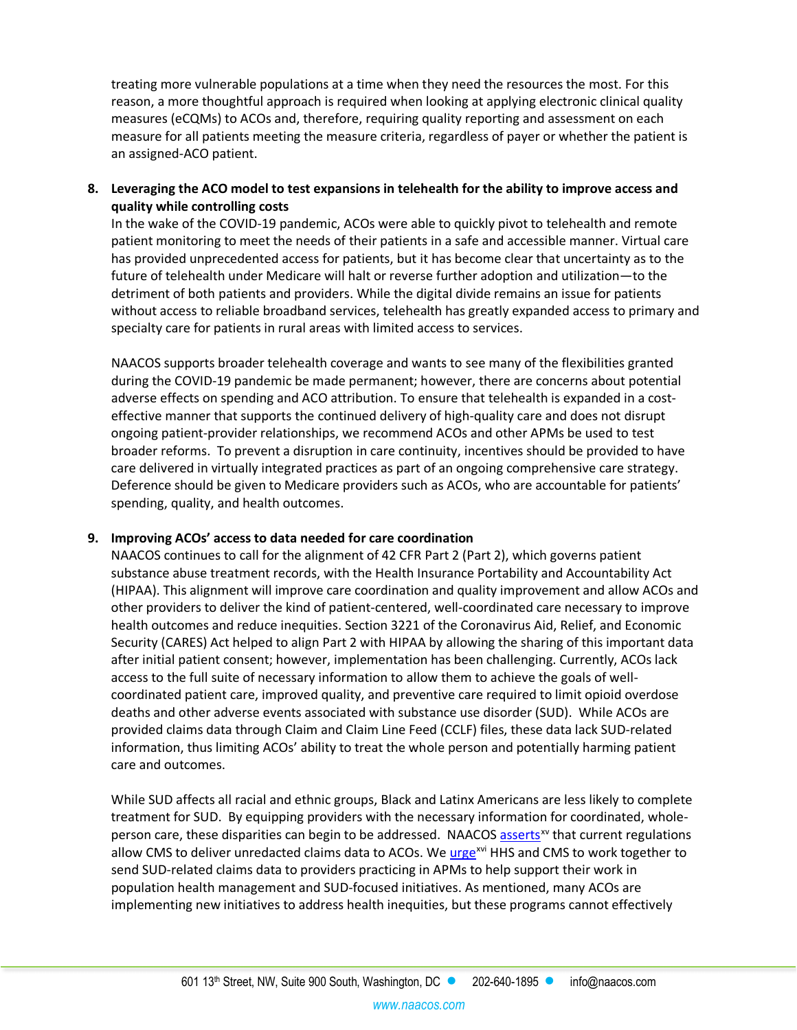treating more vulnerable populations at a time when they need the resources the most. For this reason, a more thoughtful approach is required when looking at applying electronic clinical quality measures (eCQMs) to ACOs and, therefore, requiring quality reporting and assessment on each measure for all patients meeting the measure criteria, regardless of payer or whether the patient is an assigned-ACO patient.

**8. Leveraging the ACO model to test expansions in telehealth for the ability to improve access and quality while controlling costs**

In the wake of the COVID-19 pandemic, ACOs were able to quickly pivot to telehealth and remote patient monitoring to meet the needs of their patients in a safe and accessible manner. Virtual care has provided unprecedented access for patients, but it has become clear that uncertainty as to the future of telehealth under Medicare will halt or reverse further adoption and utilization—to the detriment of both patients and providers. While the digital divide remains an issue for patients without access to reliable broadband services, telehealth has greatly expanded access to primary and specialty care for patients in rural areas with limited access to services.

NAACOS supports broader telehealth coverage and wants to see many of the flexibilities granted during the COVID-19 pandemic be made permanent; however, there are concerns about potential adverse effects on spending and ACO attribution. To ensure that telehealth is expanded in a costeffective manner that supports the continued delivery of high-quality care and does not disrupt ongoing patient-provider relationships, we recommend ACOs and other APMs be used to test broader reforms. To prevent a disruption in care continuity, incentives should be provided to have care delivered in virtually integrated practices as part of an ongoing comprehensive care strategy. Deference should be given to Medicare providers such as ACOs, who are accountable for patients' spending, quality, and health outcomes.

#### **9. Improving ACOs' access to data needed for care coordination**

NAACOS continues to call for the alignment of 42 CFR Part 2 (Part 2), which governs patient substance abuse treatment records, with the Health Insurance Portability and Accountability Act (HIPAA). This alignment will improve care coordination and quality improvement and allow ACOs and other providers to deliver the kind of patient-centered, well-coordinated care necessary to improve health outcomes and reduce inequities. Section 3221 of the Coronavirus Aid, Relief, and Economic Security (CARES) Act helped to align Part 2 with HIPAA by allowing the sharing of this important data after initial patient consent; however, implementation has been challenging. Currently, ACOs lack access to the full suite of necessary information to allow them to achieve the goals of wellcoordinated patient care, improved quality, and preventive care required to limit opioid overdose deaths and other adverse events associated with substance use disorder (SUD). While ACOs are provided claims data through Claim and Claim Line Feed (CCLF) files, these data lack SUD-related information, thus limiting ACOs' ability to treat the whole person and potentially harming patient care and outcomes.

While SUD affects all racial and ethnic groups, Black and Latinx Americans are less likely to complete treatment for SUD. By equipping providers with the necessary information for coordinated, wholeperson care, these disparities can begin to be addressed. NAACOS [asserts](https://www.naacos.com/naacos-letter-calls-on-cms-and-samhsa-to-provide-acos-access-to-substance-use-disorder-claims-data)<sup>[xv](#page-5-14)</sup> that current regulations allow CMS to deliver unredacted claims data to ACOs. W[e urge](https://www.naacos.com/brooks-lasure-letter)<sup>[xvi](#page-5-15)</sup> HHS and CMS to work together to send SUD-related claims data to providers practicing in APMs to help support their work in population health management and SUD-focused initiatives. As mentioned, many ACOs are implementing new initiatives to address health inequities, but these programs cannot effectively